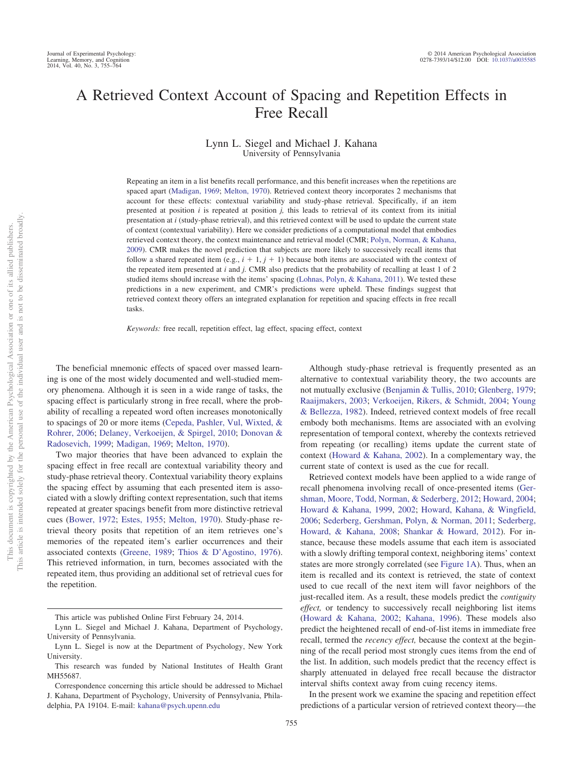# A Retrieved Context Account of Spacing and Repetition Effects in Free Recall

Lynn L. Siegel and Michael J. Kahana University of Pennsylvania

Repeating an item in a list benefits recall performance, and this benefit increases when the repetitions are spaced apart [\(Madigan, 1969;](#page-9-0) [Melton, 1970\)](#page-9-1). Retrieved context theory incorporates 2 mechanisms that account for these effects: contextual variability and study-phase retrieval. Specifically, if an item presented at position *i* is repeated at position *j,* this leads to retrieval of its context from its initial presentation at *i* (study-phase retrieval), and this retrieved context will be used to update the current state of context (contextual variability). Here we consider predictions of a computational model that embodies retrieved context theory, the context maintenance and retrieval model (CMR; [Polyn, Norman, & Kahana,](#page-9-2) [2009\)](#page-9-2). CMR makes the novel prediction that subjects are more likely to successively recall items that follow a shared repeated item (e.g.,  $i + 1$ ,  $j + 1$ ) because both items are associated with the context of the repeated item presented at *i* and *j.* CMR also predicts that the probability of recalling at least 1 of 2 studied items should increase with the items' spacing [\(Lohnas, Polyn, & Kahana, 2011\)](#page-9-3). We tested these predictions in a new experiment, and CMR's predictions were upheld. These findings suggest that retrieved context theory offers an integrated explanation for repetition and spacing effects in free recall tasks.

*Keywords:* free recall, repetition effect, lag effect, spacing effect, context

The beneficial mnemonic effects of spaced over massed learning is one of the most widely documented and well-studied memory phenomena. Although it is seen in a wide range of tasks, the spacing effect is particularly strong in free recall, where the probability of recalling a repeated word often increases monotonically to spacings of 20 or more items [\(Cepeda, Pashler, Vul, Wixted, &](#page-8-0) [Rohrer, 2006;](#page-8-0) [Delaney, Verkoeijen, & Spirgel, 2010;](#page-8-1) [Donovan &](#page-8-2) [Radosevich, 1999;](#page-8-2) [Madigan, 1969;](#page-9-0) [Melton, 1970\)](#page-9-1).

Two major theories that have been advanced to explain the spacing effect in free recall are contextual variability theory and study-phase retrieval theory. Contextual variability theory explains the spacing effect by assuming that each presented item is associated with a slowly drifting context representation, such that items repeated at greater spacings benefit from more distinctive retrieval cues [\(Bower, 1972;](#page-8-3) [Estes, 1955;](#page-8-4) [Melton, 1970\)](#page-9-1). Study-phase retrieval theory posits that repetition of an item retrieves one's memories of the repeated item's earlier occurrences and their associated contexts [\(Greene, 1989;](#page-8-5) [Thios & D'Agostino, 1976\)](#page-9-4). This retrieved information, in turn, becomes associated with the repeated item, thus providing an additional set of retrieval cues for the repetition.

Although study-phase retrieval is frequently presented as an alternative to contextual variability theory, the two accounts are not mutually exclusive [\(Benjamin & Tullis, 2010;](#page-8-6) [Glenberg, 1979;](#page-8-7) [Raaijmakers, 2003;](#page-9-5) [Verkoeijen, Rikers, & Schmidt, 2004;](#page-9-6) [Young](#page-9-7) [& Bellezza, 1982\)](#page-9-7). Indeed, retrieved context models of free recall embody both mechanisms. Items are associated with an evolving representation of temporal context, whereby the contexts retrieved from repeating (or recalling) items update the current state of context [\(Howard & Kahana, 2002\)](#page-9-8). In a complementary way, the current state of context is used as the cue for recall.

Retrieved context models have been applied to a wide range of recall phenomena involving recall of once-presented items [\(Ger](#page-8-8)[shman, Moore, Todd, Norman, & Sederberg, 2012;](#page-8-8) [Howard, 2004;](#page-8-9) [Howard & Kahana, 1999,](#page-9-9) [2002;](#page-9-8) [Howard, Kahana, & Wingfield,](#page-9-10) [2006;](#page-9-10) [Sederberg, Gershman, Polyn, & Norman, 2011;](#page-9-11) [Sederberg,](#page-9-12) [Howard, & Kahana, 2008;](#page-9-12) [Shankar & Howard, 2012\)](#page-9-13). For instance, because these models assume that each item is associated with a slowly drifting temporal context, neighboring items' context states are more strongly correlated (see [Figure 1A\)](#page-1-0). Thus, when an item is recalled and its context is retrieved, the state of context used to cue recall of the next item will favor neighbors of the just-recalled item. As a result, these models predict the *contiguity effect,* or tendency to successively recall neighboring list items [\(Howard & Kahana, 2002;](#page-9-8) [Kahana, 1996\)](#page-9-14). These models also predict the heightened recall of end-of-list items in immediate free recall, termed the *recency effect,* because the context at the beginning of the recall period most strongly cues items from the end of the list. In addition, such models predict that the recency effect is sharply attenuated in delayed free recall because the distractor interval shifts context away from cuing recency items.

In the present work we examine the spacing and repetition effect predictions of a particular version of retrieved context theory—the

This article was published Online First February 24, 2014.

Lynn L. Siegel and Michael J. Kahana, Department of Psychology, University of Pennsylvania.

Lynn L. Siegel is now at the Department of Psychology, New York University.

This research was funded by National Institutes of Health Grant MH55687.

Correspondence concerning this article should be addressed to Michael J. Kahana, Department of Psychology, University of Pennsylvania, Philadelphia, PA 19104. E-mail: [kahana@psych.upenn.edu](mailto:kahana@psych.upenn.edu)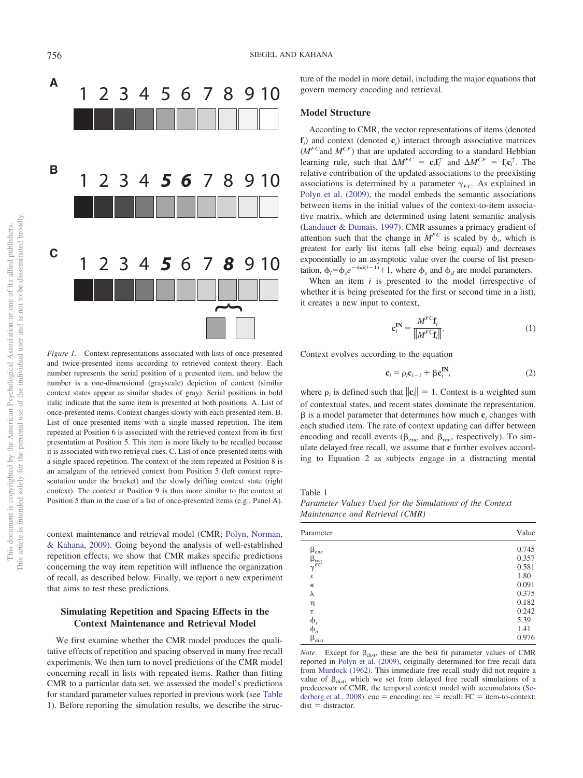

<span id="page-1-0"></span>*Figure 1.* Context representations associated with lists of once-presented and twice-presented items according to retrieved context theory. Each number represents the serial position of a presented item, and below the number is a one-dimensional (grayscale) depiction of context (similar context states appear as similar shades of gray). Serial positions in bold italic indicate that the same item is presented at both positions. A. List of once-presented items. Context changes slowly with each presented item. B. List of once-presented items with a single massed repetition. The item repeated at Position 6 is associated with the retrieved context from its first presentation at Position 5. This item is more likely to be recalled because it is associated with two retrieval cues. C. List of once-presented items with a single spaced repetition. The context of the item repeated at Position 8 is an amalgam of the retrieved context from Position 5 (left context representation under the bracket) and the slowly drifting context state (right context). The context at Position 9 is thus more similar to the context at Position 5 than in the case of a list of once-presented items (e.g., Panel A).

context maintenance and retrieval model (CMR; [Polyn, Norman,](#page-9-2) [& Kahana, 2009\)](#page-9-2). Going beyond the analysis of well-established repetition effects, we show that CMR makes specific predictions concerning the way item repetition will influence the organization of recall, as described below. Finally, we report a new experiment that aims to test these predictions.

# **Simulating Repetition and Spacing Effects in the Context Maintenance and Retrieval Model**

We first examine whether the CMR model produces the qualitative effects of repetition and spacing observed in many free recall experiments. We then turn to novel predictions of the CMR model concerning recall in lists with repeated items. Rather than fitting CMR to a particular data set, we assessed the model's predictions for standard parameter values reported in previous work (see [Table](#page-1-1) [1\)](#page-1-1). Before reporting the simulation results, we describe the structure of the model in more detail, including the major equations that govern memory encoding and retrieval.

# **Model Structure**

According to CMR, the vector representations of items (denoted  $f_i$ ) and context (denoted  $c_i$ ) interact through associative matrices  $(M^{FC}$ and  $M^{CF})$  that are updated according to a standard Hebbian learning rule, such that  $\Delta M^{FC} = \mathbf{c}_i \mathbf{f}_i^{\top}$  and  $\Delta M^{CF} = \mathbf{f}_i \mathbf{c}_i^{\top}$ . The relative contribution of the updated associations to the preexisting associations is determined by a parameter  $\gamma_{FC}$ . As explained in [Polyn et al. \(2009\),](#page-9-2) the model embeds the semantic associations between items in the initial values of the context-to-item associative matrix, which are determined using latent semantic analysis [\(Landauer & Dumais, 1997\)](#page-9-15). CMR assumes a primacy gradient of attention such that the change in  $M^{FC}$  is scaled by  $\phi_i$ , which is greatest for early list items (all else being equal) and decreases exponentially to an asymptotic value over the course of list presentation,  $\phi_i = \dot{\phi}_s e^{-\phi d(i-1)} + 1$ , where  $\phi_s$  and  $\phi_d$  are model parameters.

When an item *i* is presented to the model (irrespective of whether it is being presented for the first or second time in a list), it creates a new input to context,

$$
\mathbf{c}_i^{\mathbf{IN}} = \frac{M^{FC}\mathbf{f}_i}{\|M^{FC}\mathbf{f}_i\|}.
$$
 (1)

Context evolves according to the equation

$$
\mathbf{c}_i = \rho_i \mathbf{c}_{i-1} + \beta \mathbf{c}_i^{\mathbf{IN}},\tag{2}
$$

where  $\rho_i$  is defined such that  $||\mathbf{c}_i|| = 1$ . Context is a weighted sum of contextual states, and recent states dominate the representation.  $\beta$  is a model parameter that determines how much  $\mathbf{c}_i$  changes with each studied item. The rate of context updating can differ between encoding and recall events ( $\beta_{\text{enc}}$  and  $\beta_{\text{rec}}$ , respectively). To simulate delayed free recall, we assume that **c** further evolves according to Equation 2 as subjects engage in a distracting mental

<span id="page-1-1"></span>Table 1

*Parameter Values Used for the Simulations of the Context Maintenance and Retrieval (CMR)*

| Parameter                      | Value |
|--------------------------------|-------|
| $\beta_{\text{enc}}$           | 0.745 |
|                                | 0.357 |
| $\beta_{rec}$<br>$\gamma^{FC}$ | 0.581 |
| S                              | 1.80  |
| к                              | 0.091 |
| λ                              | 0.375 |
| η                              | 0.182 |
| $\tau$                         | 0.242 |
| $\phi_s$                       | 5.39  |
| $\phi_d$                       | 1.41  |
| $\beta_{\rm dist}$             | 0.976 |

*Note*. Except for  $\beta_{dist}$ , these are the best fit parameter values of CMR reported in [Polyn et al. \(2009\),](#page-9-2) originally determined for free recall data from [Murdock \(1962\).](#page-9-16) This immediate free recall study did not require a value of  $\beta_{dist}$ , which we set from delayed free recall simulations of a predecessor of CMR, the temporal context model with accumulators [\(Se](#page-9-12)[derberg et al., 2008\)](#page-9-12). enc = encoding; rec = recall;  $FC = item-to-context;$  $dist =$  distractor.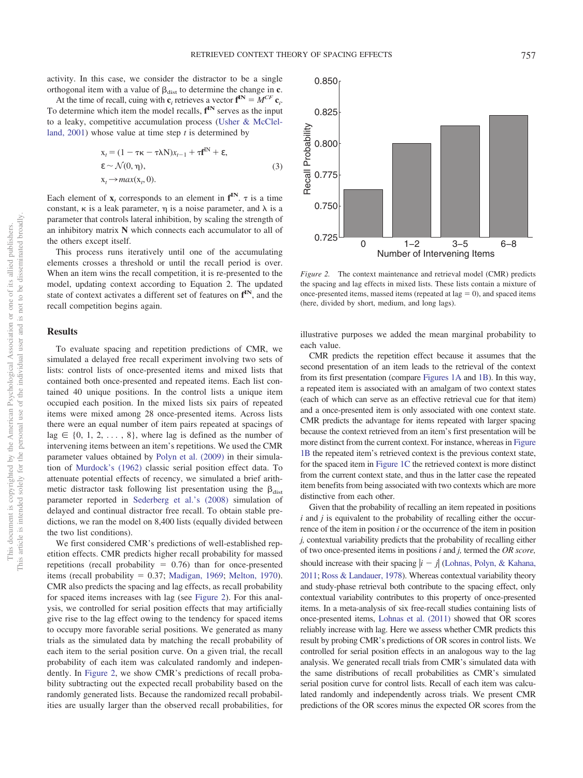activity. In this case, we consider the distractor to be a single orthogonal item with a value of  $\beta_{dist}$  to determine the change in **c**.

At the time of recall, cuing with  $\mathbf{c}_i$  retrieves a vector  $\mathbf{f}^{\mathbf{IN}} = M^{CF} \mathbf{c}_i$ . To determine which item the model recalls, **f IN** serves as the input to a leaky, competitive accumulation process [\(Usher & McClel](#page-9-17)[land, 2001\)](#page-9-17) whose value at time step *t* is determined by

$$
x_{t} = (1 - \tau \kappa - \tau \lambda N)x_{t-1} + \tau \mathbf{f}^{IN} + \varepsilon,
$$
  
\n
$$
\varepsilon \sim \mathcal{N}(0, \eta),
$$
  
\n
$$
x_{t} \rightarrow max(x_{t}, 0).
$$
\n(3)

Each element of  $\mathbf{x}_t$  corresponds to an element in  $\mathbf{f}^{\mathbf{IN}}$ .  $\tau$  is a time constant,  $\kappa$  is a leak parameter,  $\eta$  is a noise parameter, and  $\lambda$  is a parameter that controls lateral inhibition, by scaling the strength of an inhibitory matrix **N** which connects each accumulator to all of the others except itself.

This process runs iteratively until one of the accumulating elements crosses a threshold or until the recall period is over. When an item wins the recall competition, it is re-presented to the model, updating context according to Equation 2. The updated state of context activates a different set of features on **f IN**, and the recall competition begins again.

#### **Results**

To evaluate spacing and repetition predictions of CMR, we simulated a delayed free recall experiment involving two sets of lists: control lists of once-presented items and mixed lists that contained both once-presented and repeated items. Each list contained 40 unique positions. In the control lists a unique item occupied each position. In the mixed lists six pairs of repeated items were mixed among 28 once-presented items. Across lists there were an equal number of item pairs repeated at spacings of  $\text{lag } \in \{0, 1, 2, \ldots, 8\},$  where lag is defined as the number of intervening items between an item's repetitions. We used the CMR parameter values obtained by [Polyn et al. \(2009\)](#page-9-2) in their simulation of [Murdock's \(1962\)](#page-9-16) classic serial position effect data. To attenuate potential effects of recency, we simulated a brief arithmetic distractor task following list presentation using the  $\beta_{\text{dist}}$ parameter reported in [Sederberg et al.'s \(2008\)](#page-9-12) simulation of delayed and continual distractor free recall. To obtain stable predictions, we ran the model on 8,400 lists (equally divided between the two list conditions).

We first considered CMR's predictions of well-established repetition effects. CMR predicts higher recall probability for massed repetitions (recall probability  $= 0.76$ ) than for once-presented items (recall probability  $= 0.37$ ; [Madigan, 1969;](#page-9-0) [Melton, 1970\)](#page-9-1). CMR also predicts the spacing and lag effects, as recall probability for spaced items increases with lag (see [Figure 2\)](#page-2-0). For this analysis, we controlled for serial position effects that may artificially give rise to the lag effect owing to the tendency for spaced items to occupy more favorable serial positions. We generated as many trials as the simulated data by matching the recall probability of each item to the serial position curve. On a given trial, the recall probability of each item was calculated randomly and independently. In [Figure 2,](#page-2-0) we show CMR's predictions of recall probability subtracting out the expected recall probability based on the randomly generated lists. Because the randomized recall probabilities are usually larger than the observed recall probabilities, for



<span id="page-2-0"></span>*Figure 2.* The context maintenance and retrieval model (CMR) predicts the spacing and lag effects in mixed lists. These lists contain a mixture of once-presented items, massed items (repeated at  $lag = 0$ ), and spaced items (here, divided by short, medium, and long lags).

illustrative purposes we added the mean marginal probability to each value.

CMR predicts the repetition effect because it assumes that the second presentation of an item leads to the retrieval of the context from its first presentation (compare [Figures 1A](#page-1-0) and [1B\)](#page-1-0). In this way, a repeated item is associated with an amalgam of two context states (each of which can serve as an effective retrieval cue for that item) and a once-presented item is only associated with one context state. CMR predicts the advantage for items repeated with larger spacing because the context retrieved from an item's first presentation will be more distinct from the current context. For instance, whereas in [Figure](#page-1-0) [1B](#page-1-0) the repeated item's retrieved context is the previous context state, for the spaced item in [Figure 1C](#page-1-0) the retrieved context is more distinct from the current context state, and thus in the latter case the repeated item benefits from being associated with two contexts which are more distinctive from each other.

Given that the probability of recalling an item repeated in positions *i* and *j* is equivalent to the probability of recalling either the occurrence of the item in position *i* or the occurrence of the item in position *j,* contextual variability predicts that the probability of recalling either of two once-presented items in positions *i* and *j,* termed the *OR score,* should increase with their spacing  $|i - j|$  [\(Lohnas, Polyn, & Kahana,](#page-9-3) [2011;](#page-9-3) [Ross & Landauer, 1978\)](#page-9-18). Whereas contextual variability theory and study-phase retrieval both contribute to the spacing effect, only contextual variability contributes to this property of once-presented items. In a meta-analysis of six free-recall studies containing lists of once-presented items, [Lohnas et al. \(2011\)](#page-9-3) showed that OR scores reliably increase with lag. Here we assess whether CMR predicts this result by probing CMR's predictions of OR scores in control lists. We controlled for serial position effects in an analogous way to the lag analysis. We generated recall trials from CMR's simulated data with the same distributions of recall probabilities as CMR's simulated serial position curve for control lists. Recall of each item was calculated randomly and independently across trials. We present CMR predictions of the OR scores minus the expected OR scores from the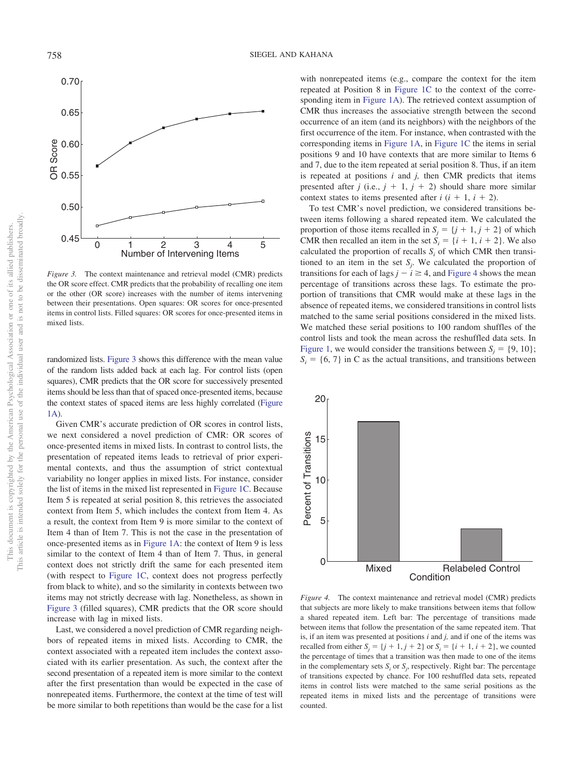

<span id="page-3-0"></span>*Figure 3.* The context maintenance and retrieval model (CMR) predicts the OR score effect. CMR predicts that the probability of recalling one item or the other (OR score) increases with the number of items intervening between their presentations. Open squares: OR scores for once-presented items in control lists. Filled squares: OR scores for once-presented items in mixed lists.

randomized lists. [Figure 3](#page-3-0) shows this difference with the mean value of the random lists added back at each lag. For control lists (open squares), CMR predicts that the OR score for successively presented items should be less than that of spaced once-presented items, because the context states of spaced items are less highly correlated [\(Figure](#page-1-0)  $1A$ 

Given CMR's accurate prediction of OR scores in control lists, we next considered a novel prediction of CMR: OR scores of once-presented items in mixed lists. In contrast to control lists, the presentation of repeated items leads to retrieval of prior experimental contexts, and thus the assumption of strict contextual variability no longer applies in mixed lists. For instance, consider the list of items in the mixed list represented in [Figure 1C.](#page-1-0) Because Item 5 is repeated at serial position 8, this retrieves the associated context from Item 5, which includes the context from Item 4. As a result, the context from Item 9 is more similar to the context of Item 4 than of Item 7. This is not the case in the presentation of once-presented items as in [Figure 1A:](#page-1-0) the context of Item 9 is less similar to the context of Item 4 than of Item 7. Thus, in general context does not strictly drift the same for each presented item (with respect to [Figure 1C,](#page-1-0) context does not progress perfectly from black to white), and so the similarity in contexts between two items may not strictly decrease with lag. Nonetheless, as shown in [Figure 3](#page-3-0) (filled squares), CMR predicts that the OR score should increase with lag in mixed lists.

Last, we considered a novel prediction of CMR regarding neighbors of repeated items in mixed lists. According to CMR, the context associated with a repeated item includes the context associated with its earlier presentation. As such, the context after the second presentation of a repeated item is more similar to the context after the first presentation than would be expected in the case of nonrepeated items. Furthermore, the context at the time of test will be more similar to both repetitions than would be the case for a list

with nonrepeated items (e.g., compare the context for the item repeated at Position 8 in [Figure 1C](#page-1-0) to the context of the corresponding item in [Figure 1A\)](#page-1-0). The retrieved context assumption of CMR thus increases the associative strength between the second occurrence of an item (and its neighbors) with the neighbors of the first occurrence of the item. For instance, when contrasted with the corresponding items in [Figure 1A,](#page-1-0) in [Figure 1C](#page-1-0) the items in serial positions 9 and 10 have contexts that are more similar to Items 6 and 7, due to the item repeated at serial position 8. Thus, if an item is repeated at positions *i* and *j,* then CMR predicts that items presented after  $j$  (i.e.,  $j + 1$ ,  $j + 2$ ) should share more similar context states to items presented after  $i$  ( $i + 1$ ,  $i + 2$ ).

To test CMR's novel prediction, we considered transitions between items following a shared repeated item. We calculated the proportion of those items recalled in  $S_i = \{j + 1, j + 2\}$  of which CMR then recalled an item in the set  $S_i = \{i + 1, i + 2\}$ . We also calculated the proportion of recalls *Si* of which CMR then transitioned to an item in the set  $S_j$ . We calculated the proportion of transitions for each of lags  $j - i \geq 4$ , and [Figure 4](#page-3-1) shows the mean percentage of transitions across these lags. To estimate the proportion of transitions that CMR would make at these lags in the absence of repeated items, we considered transitions in control lists matched to the same serial positions considered in the mixed lists. We matched these serial positions to 100 random shuffles of the control lists and took the mean across the reshuffled data sets. In [Figure 1,](#page-1-0) we would consider the transitions between  $S_i = \{9, 10\}$ ;  $S_i = \{6, 7\}$  in C as the actual transitions, and transitions between



<span id="page-3-1"></span>*Figure 4.* The context maintenance and retrieval model (CMR) predicts that subjects are more likely to make transitions between items that follow a shared repeated item. Left bar: The percentage of transitions made between items that follow the presentation of the same repeated item. That is, if an item was presented at positions *i* and *j,* and if one of the items was recalled from either  $S_i = \{j + 1, j + 2\}$  or  $S_i = \{i + 1, i + 2\}$ , we counted the percentage of times that a transition was then made to one of the items in the complementary sets  $S_i$  or  $S_j$ , respectively. Right bar: The percentage of transitions expected by chance. For 100 reshuffled data sets, repeated items in control lists were matched to the same serial positions as the repeated items in mixed lists and the percentage of transitions were counted.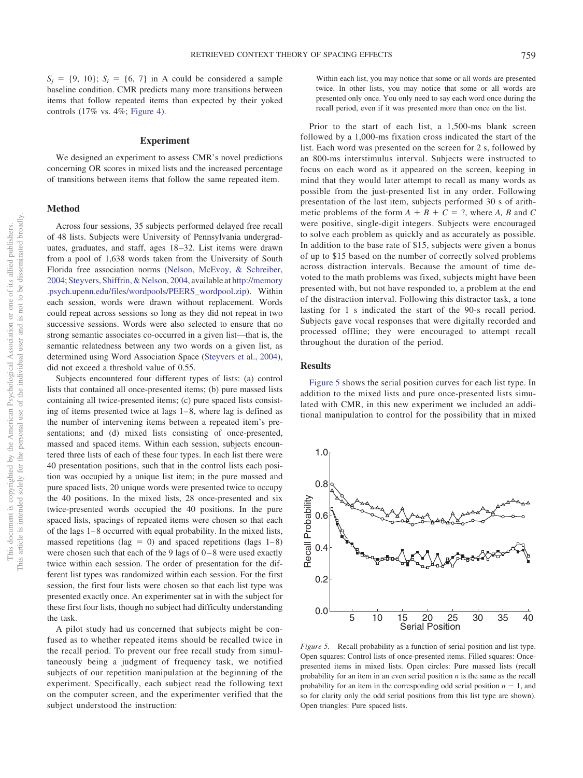$S_i = \{9, 10\}; S_i = \{6, 7\}$  in A could be considered a sample baseline condition. CMR predicts many more transitions between items that follow repeated items than expected by their yoked controls (17% vs. 4%; [Figure 4\)](#page-3-1).

#### **Experiment**

We designed an experiment to assess CMR's novel predictions concerning OR scores in mixed lists and the increased percentage of transitions between items that follow the same repeated item.

# **Method**

Across four sessions, 35 subjects performed delayed free recall of 48 lists. Subjects were University of Pennsylvania undergraduates, graduates, and staff, ages 18 –32. List items were drawn from a pool of 1,638 words taken from the University of South Florida free association norms [\(Nelson, McEvoy, & Schreiber,](#page-9-19) [2004;](#page-9-19) [Steyvers, Shiffrin, & Nelson, 2004,](#page-9-20) available at [http://memory](http://memory.psych.upenn.edu/files/wordpools/PEERS_wordpool.zip) [.psych.upenn.edu/files/wordpools/PEERS\\_wordpool.zip\)](http://memory.psych.upenn.edu/files/wordpools/PEERS_wordpool.zip). Within each session, words were drawn without replacement. Words could repeat across sessions so long as they did not repeat in two successive sessions. Words were also selected to ensure that no strong semantic associates co-occurred in a given list—that is, the semantic relatedness between any two words on a given list, as determined using Word Association Space [\(Steyvers et al., 2004\)](#page-9-20), did not exceed a threshold value of 0.55.

Subjects encountered four different types of lists: (a) control lists that contained all once-presented items; (b) pure massed lists containing all twice-presented items; (c) pure spaced lists consisting of items presented twice at lags 1– 8, where lag is defined as the number of intervening items between a repeated item's presentations; and (d) mixed lists consisting of once-presented, massed and spaced items. Within each session, subjects encountered three lists of each of these four types. In each list there were 40 presentation positions, such that in the control lists each position was occupied by a unique list item; in the pure massed and pure spaced lists, 20 unique words were presented twice to occupy the 40 positions. In the mixed lists, 28 once-presented and six twice-presented words occupied the 40 positions. In the pure spaced lists, spacings of repeated items were chosen so that each of the lags 1– 8 occurred with equal probability. In the mixed lists, massed repetitions (lag  $= 0$ ) and spaced repetitions (lags 1–8) were chosen such that each of the 9 lags of  $0-8$  were used exactly twice within each session. The order of presentation for the different list types was randomized within each session. For the first session, the first four lists were chosen so that each list type was presented exactly once. An experimenter sat in with the subject for these first four lists, though no subject had difficulty understanding the task.

A pilot study had us concerned that subjects might be confused as to whether repeated items should be recalled twice in the recall period. To prevent our free recall study from simultaneously being a judgment of frequency task, we notified subjects of our repetition manipulation at the beginning of the experiment. Specifically, each subject read the following text on the computer screen, and the experimenter verified that the subject understood the instruction:

Within each list, you may notice that some or all words are presented twice. In other lists, you may notice that some or all words are presented only once. You only need to say each word once during the recall period, even if it was presented more than once on the list.

Prior to the start of each list, a 1,500-ms blank screen followed by a 1,000-ms fixation cross indicated the start of the list. Each word was presented on the screen for 2 s, followed by an 800-ms interstimulus interval. Subjects were instructed to focus on each word as it appeared on the screen, keeping in mind that they would later attempt to recall as many words as possible from the just-presented list in any order. Following presentation of the last item, subjects performed 30 s of arithmetic problems of the form  $A + B + C = ?$ , where *A*, *B* and *C* were positive, single-digit integers. Subjects were encouraged to solve each problem as quickly and as accurately as possible. In addition to the base rate of \$15, subjects were given a bonus of up to \$15 based on the number of correctly solved problems across distraction intervals. Because the amount of time devoted to the math problems was fixed, subjects might have been presented with, but not have responded to, a problem at the end of the distraction interval. Following this distractor task, a tone lasting for 1 s indicated the start of the 90-s recall period. Subjects gave vocal responses that were digitally recorded and processed offline; they were encouraged to attempt recall throughout the duration of the period.

# **Results**

[Figure 5](#page-4-0) shows the serial position curves for each list type. In addition to the mixed lists and pure once-presented lists simulated with CMR, in this new experiment we included an additional manipulation to control for the possibility that in mixed



<span id="page-4-0"></span>*Figure 5.* Recall probability as a function of serial position and list type. Open squares: Control lists of once-presented items. Filled squares: Oncepresented items in mixed lists. Open circles: Pure massed lists (recall probability for an item in an even serial position *n* is the same as the recall probability for an item in the corresponding odd serial position  $n - 1$ , and so for clarity only the odd serial positions from this list type are shown). Open triangles: Pure spaced lists.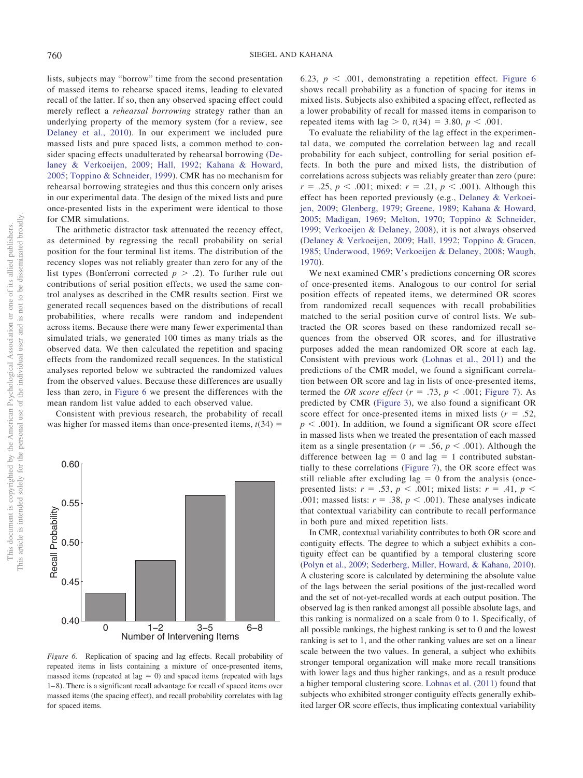lists, subjects may "borrow" time from the second presentation of massed items to rehearse spaced items, leading to elevated recall of the latter. If so, then any observed spacing effect could merely reflect a *rehearsal borrowing* strategy rather than an underlying property of the memory system (for a review, see [Delaney et al., 2010\)](#page-8-1). In our experiment we included pure massed lists and pure spaced lists, a common method to consider spacing effects unadulterated by rehearsal borrowing [\(De](#page-8-10)[laney & Verkoeijen, 2009;](#page-8-10) [Hall, 1992;](#page-8-11) [Kahana & Howard,](#page-9-21) [2005;](#page-9-21) [Toppino & Schneider, 1999\)](#page-9-22). CMR has no mechanism for rehearsal borrowing strategies and thus this concern only arises in our experimental data. The design of the mixed lists and pure once-presented lists in the experiment were identical to those for CMR simulations.

The arithmetic distractor task attenuated the recency effect, as determined by regressing the recall probability on serial position for the four terminal list items. The distribution of the recency slopes was not reliably greater than zero for any of the list types (Bonferroni corrected  $p > .2$ ). To further rule out contributions of serial position effects, we used the same control analyses as described in the CMR results section. First we generated recall sequences based on the distributions of recall probabilities, where recalls were random and independent across items. Because there were many fewer experimental than simulated trials, we generated 100 times as many trials as the observed data. We then calculated the repetition and spacing effects from the randomized recall sequences. In the statistical analyses reported below we subtracted the randomized values from the observed values. Because these differences are usually less than zero, in [Figure 6](#page-5-0) we present the differences with the mean random list value added to each observed value.

Consistent with previous research, the probability of recall was higher for massed items than once-presented items,  $t(34)$  =



<span id="page-5-0"></span>*Figure 6.* Replication of spacing and lag effects. Recall probability of repeated items in lists containing a mixture of once-presented items, massed items (repeated at lag  $= 0$ ) and spaced items (repeated with lags 1– 8). There is a significant recall advantage for recall of spaced items over massed items (the spacing effect), and recall probability correlates with lag for spaced items.

6.23,  $p < .001$ , demonstrating a repetition effect. [Figure 6](#page-5-0) shows recall probability as a function of spacing for items in mixed lists. Subjects also exhibited a spacing effect, reflected as a lower probability of recall for massed items in comparison to repeated items with  $\log$  > 0,  $t(34) = 3.80$ ,  $p < .001$ .

To evaluate the reliability of the lag effect in the experimental data, we computed the correlation between lag and recall probability for each subject, controlling for serial position effects. In both the pure and mixed lists, the distribution of correlations across subjects was reliably greater than zero (pure:  $r = .25, p < .001$ ; mixed:  $r = .21, p < .001$ ). Although this effect has been reported previously (e.g., [Delaney & Verkoei](#page-8-10)[jen, 2009;](#page-8-10) [Glenberg, 1979;](#page-8-7) [Greene, 1989;](#page-8-5) [Kahana & Howard,](#page-9-21) [2005;](#page-9-21) [Madigan, 1969;](#page-9-0) [Melton, 1970;](#page-9-1) [Toppino & Schneider,](#page-9-22) [1999;](#page-9-22) [Verkoeijen & Delaney, 2008\)](#page-9-23), it is not always observed [\(Delaney & Verkoeijen, 2009;](#page-8-10) [Hall, 1992;](#page-8-11) [Toppino & Gracen,](#page-9-24) [1985;](#page-9-24) [Underwood, 1969;](#page-9-25) [Verkoeijen & Delaney, 2008;](#page-9-23) [Waugh,](#page-9-26) [1970\)](#page-9-26).

We next examined CMR's predictions concerning OR scores of once-presented items. Analogous to our control for serial position effects of repeated items, we determined OR scores from randomized recall sequences with recall probabilities matched to the serial position curve of control lists. We subtracted the OR scores based on these randomized recall sequences from the observed OR scores, and for illustrative purposes added the mean randomized OR score at each lag. Consistent with previous work [\(Lohnas et al., 2011\)](#page-9-3) and the predictions of the CMR model, we found a significant correlation between OR score and lag in lists of once-presented items, termed the *OR score effect* ( $r = .73$ ,  $p < .001$ ; [Figure 7\)](#page-6-0). As predicted by CMR [\(Figure 3\)](#page-3-0), we also found a significant OR score effect for once-presented items in mixed lists  $(r = .52, ...)$  $p < .001$ ). In addition, we found a significant OR score effect in massed lists when we treated the presentation of each massed item as a single presentation ( $r = .56$ ,  $p < .001$ ). Although the difference between lag = 0 and lag = 1 contributed substantially to these correlations [\(Figure 7\)](#page-6-0), the OR score effect was still reliable after excluding lag  $= 0$  from the analysis (oncepresented lists:  $r = .53$ ,  $p < .001$ ; mixed lists:  $r = .41$ ,  $p <$ .001; massed lists:  $r = .38$ ,  $p < .001$ ). These analyses indicate that contextual variability can contribute to recall performance in both pure and mixed repetition lists.

In CMR, contextual variability contributes to both OR score and contiguity effects. The degree to which a subject exhibits a contiguity effect can be quantified by a temporal clustering score [\(Polyn et al., 2009;](#page-9-2) [Sederberg, Miller, Howard, & Kahana, 2010\)](#page-9-27). A clustering score is calculated by determining the absolute value of the lags between the serial positions of the just-recalled word and the set of not-yet-recalled words at each output position. The observed lag is then ranked amongst all possible absolute lags, and this ranking is normalized on a scale from 0 to 1. Specifically, of all possible rankings, the highest ranking is set to 0 and the lowest ranking is set to 1, and the other ranking values are set on a linear scale between the two values. In general, a subject who exhibits stronger temporal organization will make more recall transitions with lower lags and thus higher rankings, and as a result produce a higher temporal clustering score. [Lohnas et al. \(2011\)](#page-9-3) found that subjects who exhibited stronger contiguity effects generally exhibited larger OR score effects, thus implicating contextual variability

0.60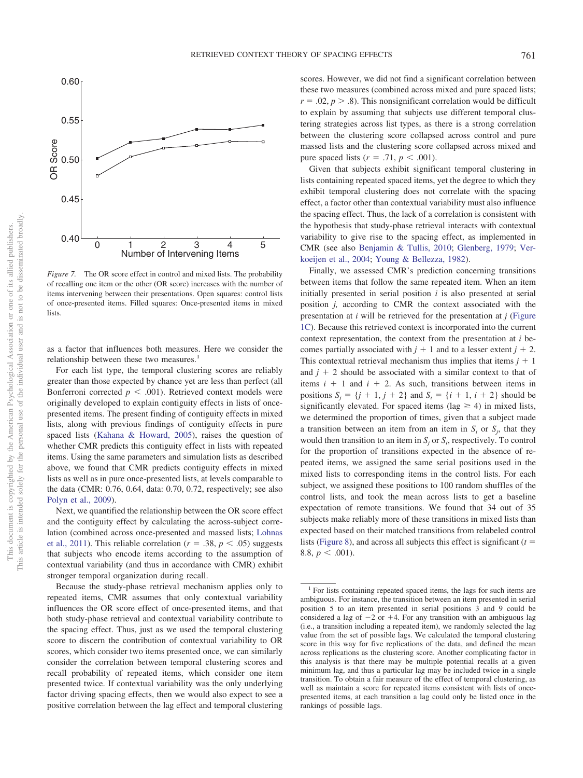

<span id="page-6-0"></span>*Figure 7.* The OR score effect in control and mixed lists. The probability of recalling one item or the other (OR score) increases with the number of items intervening between their presentations. Open squares: control lists of once-presented items. Filled squares: Once-presented items in mixed lists.

as a factor that influences both measures. Here we consider the relationship between these two measures.<sup>1</sup>

For each list type, the temporal clustering scores are reliably greater than those expected by chance yet are less than perfect (all Bonferroni corrected  $p < .001$ ). Retrieved context models were originally developed to explain contiguity effects in lists of oncepresented items. The present finding of contiguity effects in mixed lists, along with previous findings of contiguity effects in pure spaced lists [\(Kahana & Howard, 2005\)](#page-9-21), raises the question of whether CMR predicts this contiguity effect in lists with repeated items. Using the same parameters and simulation lists as described above, we found that CMR predicts contiguity effects in mixed lists as well as in pure once-presented lists, at levels comparable to the data (CMR: 0.76, 0.64, data: 0.70, 0.72, respectively; see also [Polyn et al., 2009\)](#page-9-2).

Next, we quantified the relationship between the OR score effect and the contiguity effect by calculating the across-subject correlation (combined across once-presented and massed lists; [Lohnas](#page-9-3) [et al., 2011\)](#page-9-3). This reliable correlation ( $r = .38$ ,  $p < .05$ ) suggests that subjects who encode items according to the assumption of contextual variability (and thus in accordance with CMR) exhibit stronger temporal organization during recall.

Because the study-phase retrieval mechanism applies only to repeated items, CMR assumes that only contextual variability influences the OR score effect of once-presented items, and that both study-phase retrieval and contextual variability contribute to the spacing effect. Thus, just as we used the temporal clustering score to discern the contribution of contextual variability to OR scores, which consider two items presented once, we can similarly consider the correlation between temporal clustering scores and recall probability of repeated items, which consider one item presented twice. If contextual variability was the only underlying factor driving spacing effects, then we would also expect to see a positive correlation between the lag effect and temporal clustering scores. However, we did not find a significant correlation between these two measures (combined across mixed and pure spaced lists;  $r = .02$ ,  $p > .8$ ). This nonsignificant correlation would be difficult to explain by assuming that subjects use different temporal clustering strategies across list types, as there is a strong correlation between the clustering score collapsed across control and pure massed lists and the clustering score collapsed across mixed and pure spaced lists  $(r = .71, p < .001)$ .

Given that subjects exhibit significant temporal clustering in lists containing repeated spaced items, yet the degree to which they exhibit temporal clustering does not correlate with the spacing effect, a factor other than contextual variability must also influence the spacing effect. Thus, the lack of a correlation is consistent with the hypothesis that study-phase retrieval interacts with contextual variability to give rise to the spacing effect, as implemented in CMR (see also [Benjamin & Tullis, 2010;](#page-8-6) [Glenberg, 1979;](#page-8-7) [Ver](#page-9-6)[koeijen et al., 2004;](#page-9-6) [Young & Bellezza, 1982\)](#page-9-7).

Finally, we assessed CMR's prediction concerning transitions between items that follow the same repeated item. When an item initially presented in serial position *i* is also presented at serial position *j,* according to CMR the context associated with the presentation at *i* will be retrieved for the presentation at *j* [\(Figure](#page-1-0) [1C\)](#page-1-0). Because this retrieved context is incorporated into the current context representation, the context from the presentation at *i* becomes partially associated with  $j + 1$  and to a lesser extent  $j + 2$ . This contextual retrieval mechanism thus implies that items  $j + 1$ and  $j + 2$  should be associated with a similar context to that of items  $i + 1$  and  $i + 2$ . As such, transitions between items in positions  $S_i = \{j + 1, j + 2\}$  and  $S_i = \{i + 1, i + 2\}$  should be significantly elevated. For spaced items ( $lag \ge 4$ ) in mixed lists, we determined the proportion of times, given that a subject made a transition between an item from an item in  $S_i$  or  $S_j$ , that they would then transition to an item in  $S_j$  or  $S_i$ , respectively. To control for the proportion of transitions expected in the absence of repeated items, we assigned the same serial positions used in the mixed lists to corresponding items in the control lists. For each subject, we assigned these positions to 100 random shuffles of the control lists, and took the mean across lists to get a baseline expectation of remote transitions. We found that 34 out of 35 subjects make reliably more of these transitions in mixed lists than expected based on their matched transitions from relabeled control lists [\(Figure 8\)](#page-7-0), and across all subjects this effect is significant  $(t =$ 8.8,  $p < .001$ ).

<sup>&</sup>lt;sup>1</sup> For lists containing repeated spaced items, the lags for such items are ambiguous. For instance, the transition between an item presented in serial position 5 to an item presented in serial positions 3 and 9 could be considered a lag of  $-2$  or  $+4$ . For any transition with an ambiguous lag (i.e., a transition including a repeated item), we randomly selected the lag value from the set of possible lags. We calculated the temporal clustering score in this way for five replications of the data, and defined the mean across replications as the clustering score. Another complicating factor in this analysis is that there may be multiple potential recalls at a given minimum lag, and thus a particular lag may be included twice in a single transition. To obtain a fair measure of the effect of temporal clustering, as well as maintain a score for repeated items consistent with lists of oncepresented items, at each transition a lag could only be listed once in the rankings of possible lags.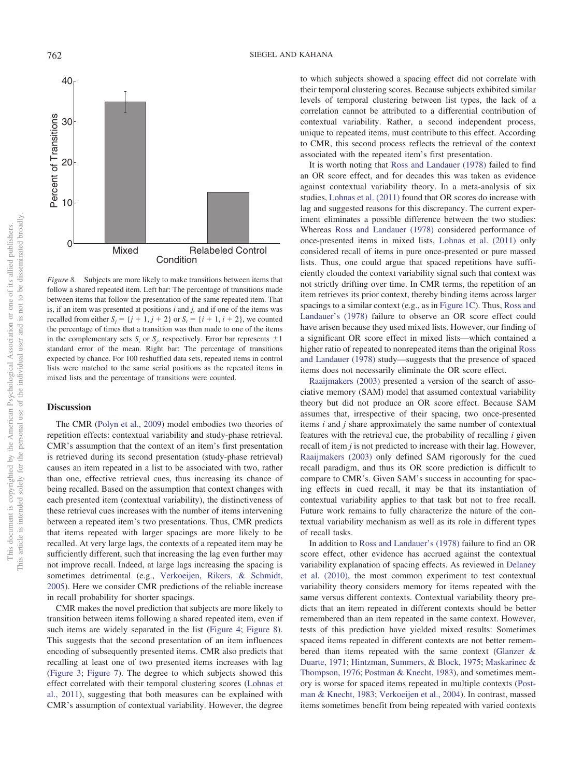

<span id="page-7-0"></span>*Figure 8.* Subjects are more likely to make transitions between items that follow a shared repeated item. Left bar: The percentage of transitions made between items that follow the presentation of the same repeated item. That is, if an item was presented at positions *i* and *j,* and if one of the items was recalled from either  $S_i = \{j + 1, j + 2\}$  or  $S_i = \{i + 1, i + 2\}$ , we counted the percentage of times that a transition was then made to one of the items in the complementary sets  $S_i$  or  $S_j$ , respectively. Error bar represents  $\pm 1$ standard error of the mean. Right bar: The percentage of transitions expected by chance. For 100 reshuffled data sets, repeated items in control lists were matched to the same serial positions as the repeated items in mixed lists and the percentage of transitions were counted.

## **Discussion**

The CMR [\(Polyn et al., 2009\)](#page-9-2) model embodies two theories of repetition effects: contextual variability and study-phase retrieval. CMR's assumption that the context of an item's first presentation is retrieved during its second presentation (study-phase retrieval) causes an item repeated in a list to be associated with two, rather than one, effective retrieval cues, thus increasing its chance of being recalled. Based on the assumption that context changes with each presented item (contextual variability), the distinctiveness of these retrieval cues increases with the number of items intervening between a repeated item's two presentations. Thus, CMR predicts that items repeated with larger spacings are more likely to be recalled. At very large lags, the contexts of a repeated item may be sufficiently different, such that increasing the lag even further may not improve recall. Indeed, at large lags increasing the spacing is sometimes detrimental (e.g., [Verkoeijen, Rikers, & Schmidt,](#page-9-28) [2005\)](#page-9-28). Here we consider CMR predictions of the reliable increase in recall probability for shorter spacings.

CMR makes the novel prediction that subjects are more likely to transition between items following a shared repeated item, even if such items are widely separated in the list [\(Figure 4;](#page-3-1) [Figure 8\)](#page-7-0). This suggests that the second presentation of an item influences encoding of subsequently presented items. CMR also predicts that recalling at least one of two presented items increases with lag [\(Figure 3;](#page-3-0) [Figure 7\)](#page-6-0). The degree to which subjects showed this effect correlated with their temporal clustering scores [\(Lohnas et](#page-9-3) [al., 2011\)](#page-9-3), suggesting that both measures can be explained with CMR's assumption of contextual variability. However, the degree to which subjects showed a spacing effect did not correlate with their temporal clustering scores. Because subjects exhibited similar levels of temporal clustering between list types, the lack of a correlation cannot be attributed to a differential contribution of contextual variability. Rather, a second independent process, unique to repeated items, must contribute to this effect. According to CMR, this second process reflects the retrieval of the context associated with the repeated item's first presentation.

It is worth noting that [Ross and Landauer \(1978\)](#page-9-18) failed to find an OR score effect, and for decades this was taken as evidence against contextual variability theory. In a meta-analysis of six studies, [Lohnas et al. \(2011\)](#page-9-3) found that OR scores do increase with lag and suggested reasons for this discrepancy. The current experiment eliminates a possible difference between the two studies: Whereas [Ross and Landauer \(1978\)](#page-9-18) considered performance of once-presented items in mixed lists, [Lohnas et al. \(2011\)](#page-9-3) only considered recall of items in pure once-presented or pure massed lists. Thus, one could argue that spaced repetitions have sufficiently clouded the context variability signal such that context was not strictly drifting over time. In CMR terms, the repetition of an item retrieves its prior context, thereby binding items across larger spacings to a similar context (e.g., as in [Figure 1C\)](#page-1-0). Thus, [Ross and](#page-9-18) [Landauer's \(1978\)](#page-9-18) failure to observe an OR score effect could have arisen because they used mixed lists. However, our finding of a significant OR score effect in mixed lists—which contained a higher ratio of repeated to nonrepeated items than the original [Ross](#page-9-18) [and Landauer \(1978\)](#page-9-18) study—suggests that the presence of spaced items does not necessarily eliminate the OR score effect.

[Raaijmakers \(2003\)](#page-9-5) presented a version of the search of associative memory (SAM) model that assumed contextual variability theory but did not produce an OR score effect. Because SAM assumes that, irrespective of their spacing, two once-presented items *i* and *j* share approximately the same number of contextual features with the retrieval cue, the probability of recalling *i* given recall of item *j* is not predicted to increase with their lag. However, [Raaijmakers \(2003\)](#page-9-5) only defined SAM rigorously for the cued recall paradigm, and thus its OR score prediction is difficult to compare to CMR's. Given SAM's success in accounting for spacing effects in cued recall, it may be that its instantiation of contextual variability applies to that task but not to free recall. Future work remains to fully characterize the nature of the contextual variability mechanism as well as its role in different types of recall tasks.

In addition to [Ross and Landauer's \(1978\)](#page-9-18) failure to find an OR score effect, other evidence has accrued against the contextual variability explanation of spacing effects. As reviewed in [Delaney](#page-8-1) [et al. \(2010\),](#page-8-1) the most common experiment to test contextual variability theory considers memory for items repeated with the same versus different contexts. Contextual variability theory predicts that an item repeated in different contexts should be better remembered than an item repeated in the same context. However, tests of this prediction have yielded mixed results: Sometimes spaced items repeated in different contexts are not better remembered than items repeated with the same context [\(Glanzer &](#page-8-12) [Duarte, 1971;](#page-8-12) [Hintzman, Summers, & Block, 1975;](#page-8-13) [Maskarinec &](#page-9-29) [Thompson, 1976;](#page-9-29) [Postman & Knecht, 1983\)](#page-9-30), and sometimes memory is worse for spaced items repeated in multiple contexts [\(Post](#page-9-30)[man & Knecht, 1983;](#page-9-30) [Verkoeijen et al., 2004\)](#page-9-6). In contrast, massed items sometimes benefit from being repeated with varied contexts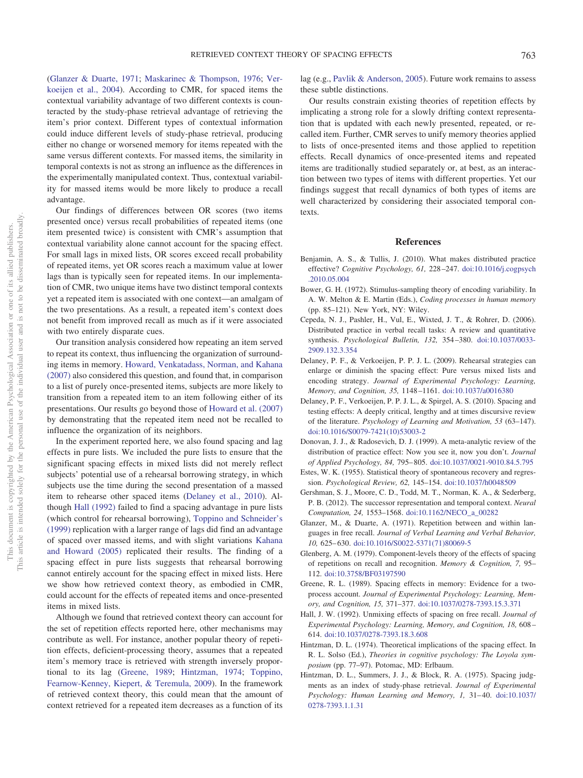<span id="page-8-9"></span>[\(Glanzer & Duarte, 1971;](#page-8-12) [Maskarinec & Thompson, 1976;](#page-9-29) [Ver](#page-9-6)[koeijen et al., 2004\)](#page-9-6). According to CMR, for spaced items the contextual variability advantage of two different contexts is counteracted by the study-phase retrieval advantage of retrieving the item's prior context. Different types of contextual information could induce different levels of study-phase retrieval, producing either no change or worsened memory for items repeated with the same versus different contexts. For massed items, the similarity in temporal contexts is not as strong an influence as the differences in the experimentally manipulated context. Thus, contextual variability for massed items would be more likely to produce a recall advantage.

Our findings of differences between OR scores (two items presented once) versus recall probabilities of repeated items (one item presented twice) is consistent with CMR's assumption that contextual variability alone cannot account for the spacing effect. For small lags in mixed lists, OR scores exceed recall probability of repeated items, yet OR scores reach a maximum value at lower lags than is typically seen for repeated items. In our implementation of CMR, two unique items have two distinct temporal contexts yet a repeated item is associated with one context—an amalgam of the two presentations. As a result, a repeated item's context does not benefit from improved recall as much as if it were associated with two entirely disparate cues.

Our transition analysis considered how repeating an item served to repeat its context, thus influencing the organization of surrounding items in memory. [Howard, Venkatadass, Norman, and Kahana](#page-9-31) [\(2007\)](#page-9-31) also considered this question, and found that, in comparison to a list of purely once-presented items, subjects are more likely to transition from a repeated item to an item following either of its presentations. Our results go beyond those of [Howard et al. \(2007\)](#page-9-31) by demonstrating that the repeated item need not be recalled to influence the organization of its neighbors.

In the experiment reported here, we also found spacing and lag effects in pure lists. We included the pure lists to ensure that the significant spacing effects in mixed lists did not merely reflect subjects' potential use of a rehearsal borrowing strategy, in which subjects use the time during the second presentation of a massed item to rehearse other spaced items [\(Delaney et al., 2010\)](#page-8-1). Although [Hall \(1992\)](#page-8-11) failed to find a spacing advantage in pure lists (which control for rehearsal borrowing), [Toppino and Schneider's](#page-9-22) [\(1999\)](#page-9-22) replication with a larger range of lags did find an advantage of spaced over massed items, and with slight variations [Kahana](#page-9-21) [and Howard \(2005\)](#page-9-21) replicated their results. The finding of a spacing effect in pure lists suggests that rehearsal borrowing cannot entirely account for the spacing effect in mixed lists. Here we show how retrieved context theory, as embodied in CMR, could account for the effects of repeated items and once-presented items in mixed lists.

Although we found that retrieved context theory can account for the set of repetition effects reported here, other mechanisms may contribute as well. For instance, another popular theory of repetition effects, deficient-processing theory, assumes that a repeated item's memory trace is retrieved with strength inversely proportional to its lag [\(Greene, 1989;](#page-8-5) [Hintzman, 1974;](#page-8-14) [Toppino,](#page-9-32) [Fearnow-Kenney, Kiepert, & Teremula, 2009\)](#page-9-32). In the framework of retrieved context theory, this could mean that the amount of context retrieved for a repeated item decreases as a function of its

lag (e.g., [Pavlik & Anderson, 2005\)](#page-9-33). Future work remains to assess these subtle distinctions.

Our results constrain existing theories of repetition effects by implicating a strong role for a slowly drifting context representation that is updated with each newly presented, repeated, or recalled item. Further, CMR serves to unify memory theories applied to lists of once-presented items and those applied to repetition effects. Recall dynamics of once-presented items and repeated items are traditionally studied separately or, at best, as an interaction between two types of items with different properties. Yet our findings suggest that recall dynamics of both types of items are well characterized by considering their associated temporal contexts.

## **References**

- <span id="page-8-6"></span>Benjamin, A. S., & Tullis, J. (2010). What makes distributed practice effective? *Cognitive Psychology, 61,* 228 –247. [doi:10.1016/j.cogpsych](http://dx.doi.org/10.1016/j.cogpsych.2010.05.004) [.2010.05.004](http://dx.doi.org/10.1016/j.cogpsych.2010.05.004)
- <span id="page-8-3"></span>Bower, G. H. (1972). Stimulus-sampling theory of encoding variability. In A. W. Melton & E. Martin (Eds.), *Coding processes in human memory* (pp. 85–121). New York, NY: Wiley.
- <span id="page-8-0"></span>Cepeda, N. J., Pashler, H., Vul, E., Wixted, J. T., & Rohrer, D. (2006). Distributed practice in verbal recall tasks: A review and quantitative synthesis. *Psychological Bulletin, 132,* 354 –380. [doi:10.1037/0033-](http://dx.doi.org/10.1037/0033-2909.132.3.354) [2909.132.3.354](http://dx.doi.org/10.1037/0033-2909.132.3.354)
- <span id="page-8-10"></span>Delaney, P. F., & Verkoeijen, P. P. J. L. (2009). Rehearsal strategies can enlarge or diminish the spacing effect: Pure versus mixed lists and encoding strategy. *Journal of Experimental Psychology: Learning, Memory, and Cognition, 35,* 1148 –1161. [doi:10.1037/a0016380](http://dx.doi.org/10.1037/a0016380)
- <span id="page-8-1"></span>Delaney, P. F., Verkoeijen, P. P. J. L., & Spirgel, A. S. (2010). Spacing and testing effects: A deeply critical, lengthy and at times discursive review of the literature. *Psychology of Learning and Motivation, 53* (63–147). [doi:10.1016/S0079-7421\(10\)53003-2](http://dx.doi.org/10.1016/S0079-7421%2810%2953003-2)
- <span id="page-8-2"></span>Donovan, J. J., & Radosevich, D. J. (1999). A meta-analytic review of the distribution of practice effect: Now you see it, now you don't. *Journal of Applied Psychology, 84,* 795– 805. [doi:10.1037/0021-9010.84.5.795](http://dx.doi.org/10.1037/0021-9010.84.5.795)
- <span id="page-8-4"></span>Estes, W. K. (1955). Statistical theory of spontaneous recovery and regression. *Psychological Review, 62,* 145–154. [doi:10.1037/h0048509](http://dx.doi.org/10.1037/h0048509)
- <span id="page-8-8"></span>Gershman, S. J., Moore, C. D., Todd, M. T., Norman, K. A., & Sederberg, P. B. (2012). The successor representation and temporal context. *Neural Computation, 24,* 1553–1568. [doi:10.1162/NECO\\_a\\_00282](http://dx.doi.org/10.1162/NECO_a_00282)
- <span id="page-8-12"></span>Glanzer, M., & Duarte, A. (1971). Repetition between and within languages in free recall. *Journal of Verbal Learning and Verbal Behavior, 10,* 625– 630. [doi:10.1016/S0022-5371\(71\)80069-5](http://dx.doi.org/10.1016/S0022-5371%2871%2980069-5)
- <span id="page-8-7"></span>Glenberg, A. M. (1979). Component-levels theory of the effects of spacing of repetitions on recall and recognition. *Memory & Cognition, 7,* 95– 112. [doi:10.3758/BF03197590](http://dx.doi.org/10.3758/BF03197590)
- <span id="page-8-5"></span>Greene, R. L. (1989). Spacing effects in memory: Evidence for a twoprocess account. *Journal of Experimental Psychology: Learning, Memory, and Cognition, 15,* 371–377. [doi:10.1037/0278-7393.15.3.371](http://dx.doi.org/10.1037/0278-7393.15.3.371)
- <span id="page-8-11"></span>Hall, J. W. (1992). Unmixing effects of spacing on free recall. *Journal of Experimental Psychology: Learning, Memory, and Cognition, 18,* 608 – 614. [doi:10.1037/0278-7393.18.3.608](http://dx.doi.org/10.1037/0278-7393.18.3.608)
- <span id="page-8-14"></span>Hintzman, D. L. (1974). Theoretical implications of the spacing effect. In R. L. Solso (Ed.), *Theories in cognitive psychology: The Loyola symposium* (pp. 77–97). Potomac, MD: Erlbaum.
- <span id="page-8-13"></span>Hintzman, D. L., Summers, J. J., & Block, R. A. (1975). Spacing judgments as an index of study-phase retrieval. *Journal of Experimental* Psychology: Human Learning and Memory, 1, 31-40. [doi:10.1037/](http://dx.doi.org/10.1037/0278-7393.1.1.31) [0278-7393.1.1.31](http://dx.doi.org/10.1037/0278-7393.1.1.31)